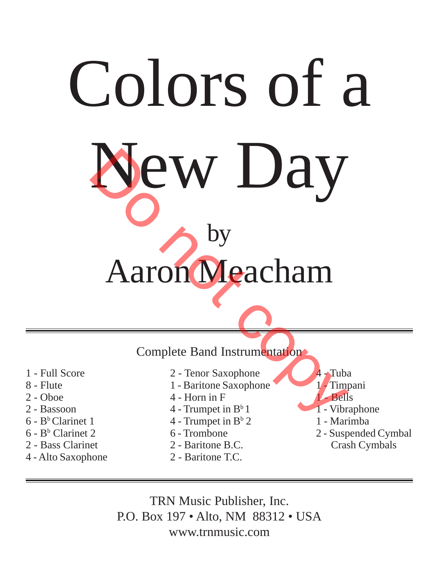# Colors of a New Day by Neacham<br>
Neacham<br>
Complete Band Instrumentation<br>
Complete Band Instrumentation<br>
2- Tenor Saxophone<br>
2- Tenor Saxophone

## Aaron Meacham

Complete Band Instrumentation

- 1 Full Score
- 8 Flute
- 2 Oboe
- 2 Bassoon
- $6 B<sup>b</sup>$  Clarinet 1
- 6 Bb Clarinet 2
- 2 Bass Clarinet
- 4 Alto Saxophone
- 2 Tenor Saxophone
- 1 Baritone Saxophone
- 4 Horn in F
- 4 Trumpet in  $B<sup>b</sup>1$
- 4 Trumpet in  $B^b 2$
- 6 Trombone
- 2 Baritone B.C.
- 2 Baritone T.C.
- 4 Tuba 1 - Timpani 1 - Bells
- 1 Vibraphone
	- 1 Marimba
	- 2 Suspended Cymbal Crash Cymbals

TRN Music Publisher, Inc. P.O. Box 197 • Alto, NM 88312 • USA www.trnmusic.com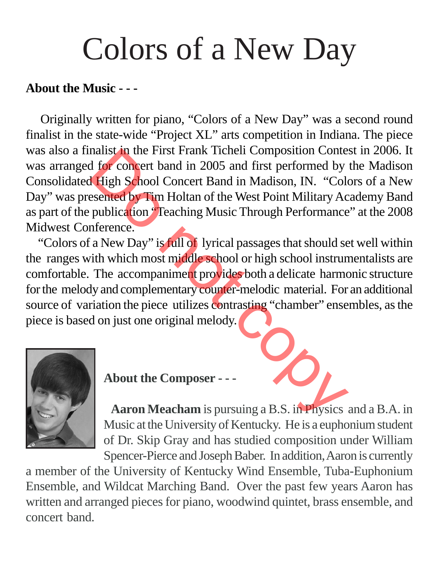## Colors of a New Day

#### **About the Music - - -**

 Originally written for piano, "Colors of a New Day" was a second round finalist in the state-wide "Project XL" arts competition in Indiana. The piece was also a finalist in the First Frank Ticheli Composition Contest in 2006. It was arranged for concert band in 2005 and first performed by the Madison Consolidated High School Concert Band in Madison, IN. "Colors of a New Day" was presented by Tim Holtan of the West Point Military Academy Band as part of the publication "Teaching Music Through Performance" at the 2008 Midwest Conference.

 "Colors of a New Day" is full of lyrical passages that should set well within the ranges with which most middle school or high school instrumentalists are comfortable. The accompaniment provides both a delicate harmonic structure for the melody and complementary counter-melodic material. For an additional source of variation the piece utilizes contrasting "chamber" ensembles, as the piece is based on just one original melody. nalist in the First Frank Ticheli Composition Conte<br>
1 for concert band in 2005 and first performed by<br>
1 High School Concert Band in Madison, IN. "Cole<br>
1 High School Concert Band in Madison, IN. "Cole<br>
1 High School Conc



**About the Composer - - -**

 **Aaron Meacham** is pursuing a B.S. in Physics and a B.A. in Music at the University of Kentucky. He is a euphonium student of Dr. Skip Gray and has studied composition under William Spencer-Pierce and Joseph Baber. In addition, Aaron is currently

a member of the University of Kentucky Wind Ensemble, Tuba-Euphonium Ensemble, and Wildcat Marching Band. Over the past few years Aaron has written and arranged pieces for piano, woodwind quintet, brass ensemble, and concert band.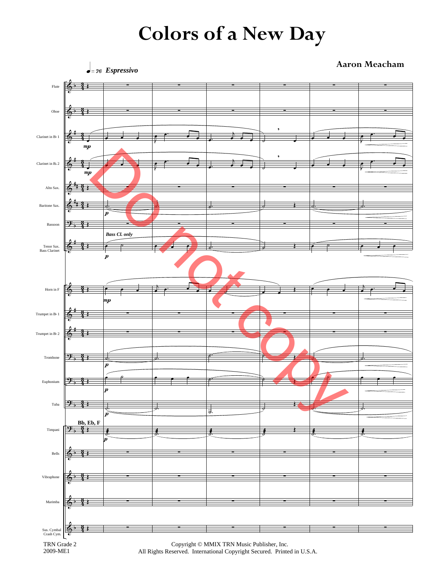#### **Colors of a New Day**



All Rights Reserved. International Copyright Secured. Printed in U.S.A.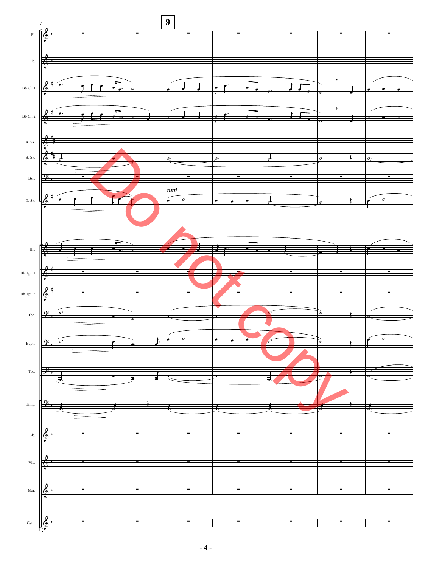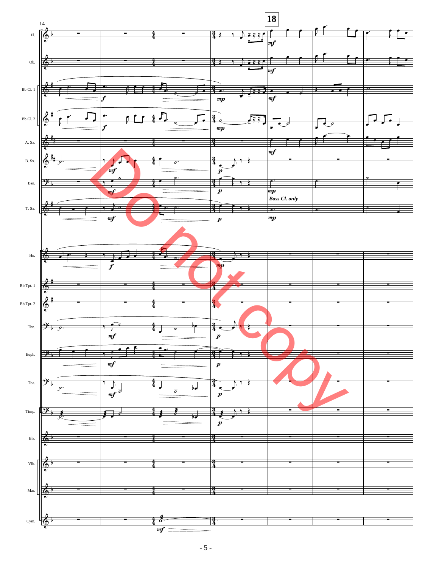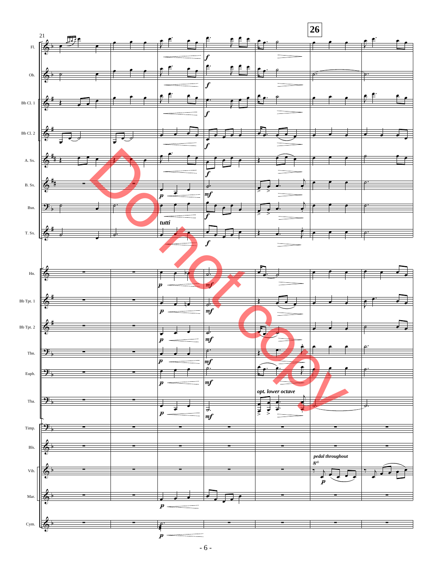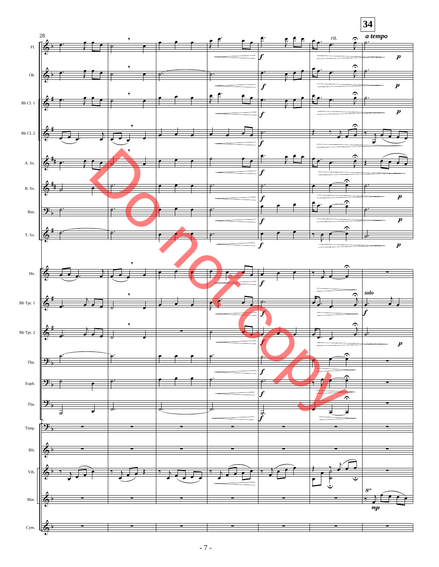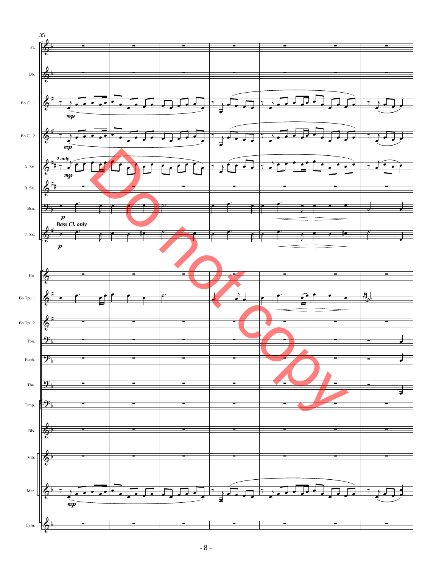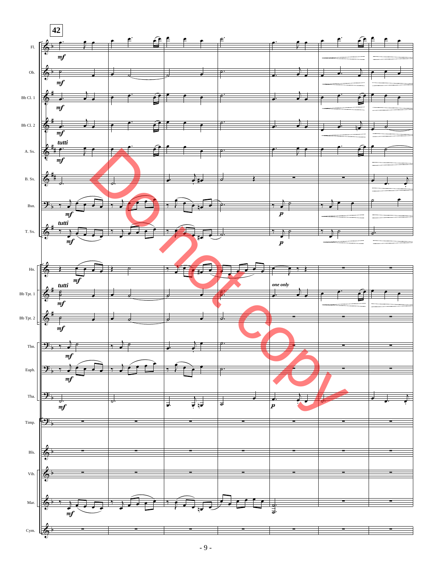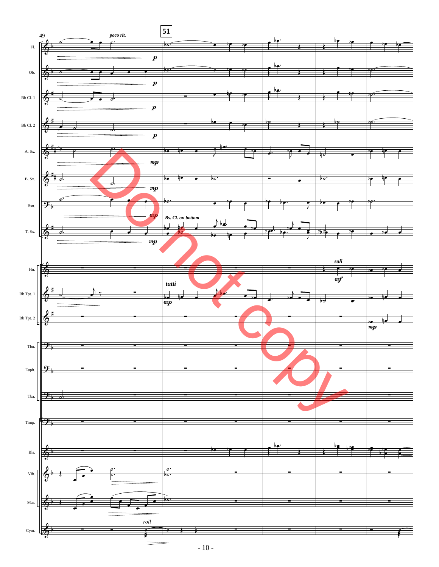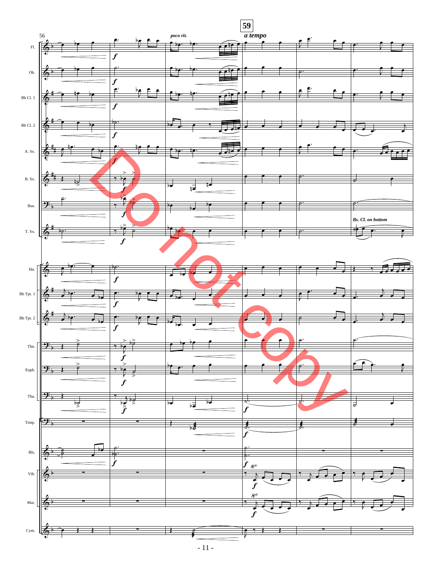